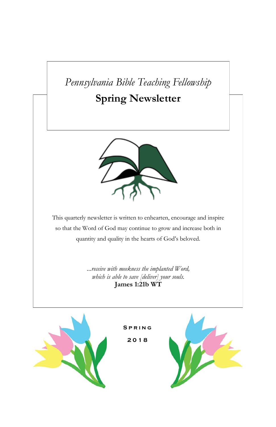# *Pennsylvania Bible Teaching Fellowship*

# **Spring Newsletter**



This quarterly newsletter is written to enhearten, encourage and inspire so that the Word of God may continue to grow and increase both in quantity and quality in the hearts of God's beloved.

> *...receive with meekness the implanted Word, which is able to save [deliver] your souls.* **James 1:21b WT**

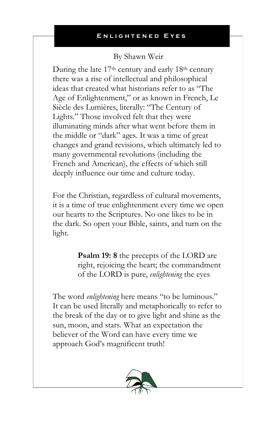## By Shawn Weir

During the late 17<sup>th</sup> century and early 18<sup>th</sup> century there was a rise of intellectual and philosophical ideas that created what historians refer to as "The Age of Enlightenment," or as known in French, Le Siècle des Lumières, literally: "The Century of Lights." Those involved felt that they were illuminating minds after what went before them in the middle or "dark" ages. It was a time of great changes and grand revisions, which ultimately led to many governmental revolutions (including the French and American), the effects of which still deeply influence our time and culture today.

For the Christian, regardless of cultural movements, it is a time of true enlightenment every time we open our hearts to the Scriptures. No one likes to be in the dark. So open your Bible, saints, and turn on the light.

> **Psalm 19: 8** the precepts of the LORD are right, rejoicing the heart; the commandment of the LORD is pure, *enlightening* the eyes

The word *enlightening* here means "to be luminous." It can be used literally and metaphorically to refer to the break of the day or to give light and shine as the sun, moon, and stars. What an expectation the believer of the Word can have every time we approach God's magnificent truth!

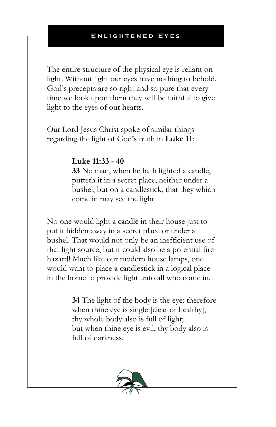The entire structure of the physical eye is reliant on light. Without light our eyes have nothing to behold. God's precepts are so right and so pure that every time we look upon them they will be faithful to give light to the eyes of our hearts.

Our Lord Jesus Christ spoke of similar things regarding the light of God's truth in **Luke 11**:

## **Luke 11:33 - 40**

**33** No man, when he hath lighted a candle, putteth it in a secret place, neither under a bushel, but on a candlestick, that they which come in may see the light

No one would light a candle in their house just to put it hidden away in a secret place or under a bushel. That would not only be an inefficient use of that light source, but it could also be a potential fire hazard! Much like our modern house lamps, one would want to place a candlestick in a logical place in the home to provide light unto all who come in.

> **34** The light of the body is the eye: therefore when thine eye is single [clear or healthy], thy whole body also is full of light; but when thine eye is evil, thy body also is full of darkness.

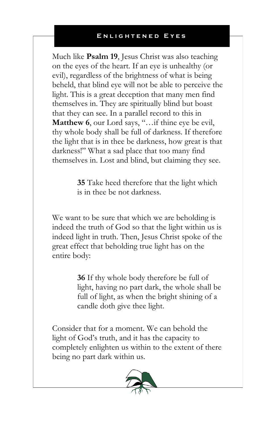Much like **Psalm 19**, Jesus Christ was also teaching on the eyes of the heart. If an eye is unhealthy (or evil), regardless of the brightness of what is being beheld, that blind eye will not be able to perceive the light. This is a great deception that many men find themselves in. They are spiritually blind but boast that they can see. In a parallel record to this in Matthew 6, our Lord says, "...if thine eye be evil, thy whole body shall be full of darkness. If therefore the light that is in thee be darkness, how great is that darkness!" What a sad place that too many find themselves in. Lost and blind, but claiming they see.

> **35** Take heed therefore that the light which is in thee be not darkness.

We want to be sure that which we are beholding is indeed the truth of God so that the light within us is indeed light in truth. Then, Jesus Christ spoke of the great effect that beholding true light has on the entire body:

> **36** If thy whole body therefore be full of light, having no part dark, the whole shall be full of light, as when the bright shining of a candle doth give thee light.

Consider that for a moment. We can behold the light of God's truth, and it has the capacity to completely enlighten us within to the extent of there being no part dark within us.

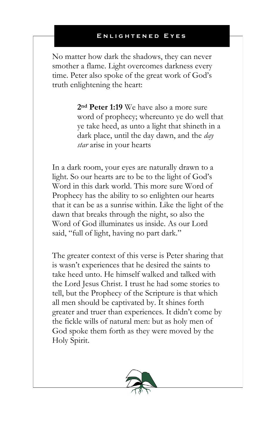No matter how dark the shadows, they can never smother a flame. Light overcomes darkness every time. Peter also spoke of the great work of God's truth enlightening the heart:

> **2nd Peter 1:19** We have also a more sure word of prophecy; whereunto ye do well that ye take heed, as unto a light that shineth in a dark place, until the day dawn, and the *day star* arise in your hearts

In a dark room, your eyes are naturally drawn to a light. So our hearts are to be to the light of God's Word in this dark world. This more sure Word of Prophecy has the ability to so enlighten our hearts that it can be as a sunrise within. Like the light of the dawn that breaks through the night, so also the Word of God illuminates us inside. As our Lord said, "full of light, having no part dark."

The greater context of this verse is Peter sharing that is wasn't experiences that he desired the saints to take heed unto. He himself walked and talked with the Lord Jesus Christ. I trust he had some stories to tell, but the Prophecy of the Scripture is that which all men should be captivated by. It shines forth greater and truer than experiences. It didn't come by the fickle wills of natural men: but as holy men of God spoke them forth as they were moved by the Holy Spirit.

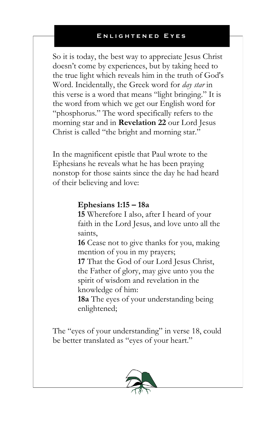So it is today, the best way to appreciate Jesus Christ doesn't come by experiences, but by taking heed to the true light which reveals him in the truth of God's Word. Incidentally, the Greek word for *day star* in this verse is a word that means "light bringing." It is the word from which we get our English word for "phosphorus." The word specifically refers to the morning star and in **Revelation 22** our Lord Jesus Christ is called "the bright and morning star."

In the magnificent epistle that Paul wrote to the Ephesians he reveals what he has been praying nonstop for those saints since the day he had heard of their believing and love:

## **Ephesians 1:15 – 18a**

**15** Wherefore I also, after I heard of your faith in the Lord Jesus, and love unto all the saints,

**16** Cease not to give thanks for you, making mention of you in my prayers;

**17** That the God of our Lord Jesus Christ, the Father of glory, may give unto you the spirit of wisdom and revelation in the knowledge of him:

**18a** The eyes of your understanding being enlightened;

The "eyes of your understanding" in verse 18, could be better translated as "eyes of your heart."

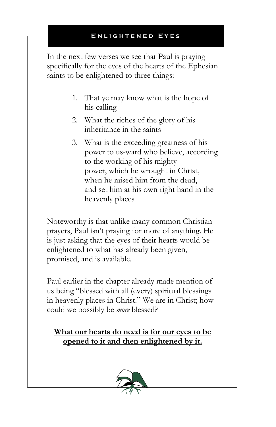In the next few verses we see that Paul is praying specifically for the eyes of the hearts of the Ephesian saints to be enlightened to three things:

- 1. That ye may know what is the hope of his calling
- 2. What the riches of the glory of his inheritance in the saints
- 3. What is the exceeding greatness of his power to us-ward who believe, according to the working of his mighty power, which he wrought in Christ, when he raised him from the dead, and set him at his own right hand in the heavenly places

Noteworthy is that unlike many common Christian prayers, Paul isn't praying for more of anything. He is just asking that the eyes of their hearts would be enlightened to what has already been given, promised, and is available.

Paul earlier in the chapter already made mention of us being "blessed with all (every) spiritual blessings in heavenly places in Christ." We are in Christ; how could we possibly be *more* blessed?

**What our hearts do need is for our eyes to be opened to it and then enlightened by it.**

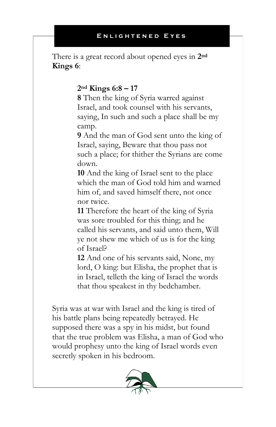There is a great record about opened eyes in **2nd Kings 6**:

## **2nd Kings 6:8 – 17**

**8** Then the king of Syria warred against Israel, and took counsel with his servants, saying, In such and such a place shall be my camp.

**9** And the man of God sent unto the king of Israel, saying, Beware that thou pass not such a place; for thither the Syrians are come down.

**10** And the king of Israel sent to the place which the man of God told him and warned him of, and saved himself there, not once nor twice.

**11** Therefore the heart of the king of Syria was sore troubled for this thing; and he called his servants, and said unto them, Will ye not shew me which of us is for the king of Israel?

**12** And one of his servants said, None, my lord, O king: but Elisha, the prophet that is in Israel, telleth the king of Israel the words that thou speakest in thy bedchamber.

Syria was at war with Israel and the king is tired of his battle plans being repeatedly betrayed. He supposed there was a spy in his midst, but found that the true problem was Elisha, a man of God who would prophesy unto the king of Israel words even secretly spoken in his bedroom.

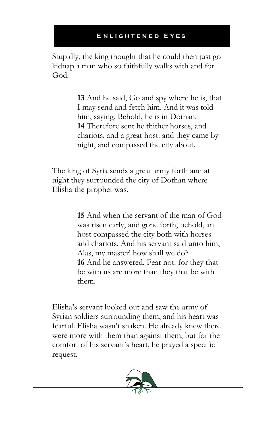Stupidly, the king thought that he could then just go kidnap a man who so faithfully walks with and for God.

> **13** And he said, Go and spy where he is, that I may send and fetch him. And it was told him, saying, Behold, he is in Dothan. **14** Therefore sent he thither horses, and chariots, and a great host: and they came by night, and compassed the city about.

The king of Syria sends a great army forth and at night they surrounded the city of Dothan where Elisha the prophet was.

> **15** And when the servant of the man of God was risen early, and gone forth, behold, an host compassed the city both with horses and chariots. And his servant said unto him, Alas, my master! how shall we do? **16** And he answered, Fear not: for they that be with us are more than they that be with them.

Elisha's servant looked out and saw the army of Syrian soldiers surrounding them, and his heart was fearful. Elisha wasn't shaken. He already knew there were more with them than against them, but for the comfort of his servant's heart, he prayed a specific request.

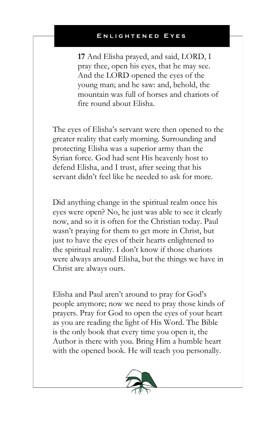**17** And Elisha prayed, and said, LORD, I pray thee, open his eyes, that he may see. And the LORD opened the eyes of the young man; and he saw: and, behold, the mountain was full of horses and chariots of fire round about Elisha.

The eyes of Elisha's servant were then opened to the greater reality that early morning. Surrounding and protecting Elisha was a superior army than the Syrian force. God had sent His heavenly host to defend Elisha, and I trust, after seeing that his servant didn't feel like he needed to ask for more.

Did anything change in the spiritual realm once his eyes were open? No, he just was able to see it clearly now, and so it is often for the Christian today. Paul wasn't praying for them to get more in Christ, but just to have the eyes of their hearts enlightened to the spiritual reality. I don't know if those chariots were always around Elisha, but the things we have in Christ are always ours.

Elisha and Paul aren't around to pray for God's people anymore; now we need to pray those kinds of prayers. Pray for God to open the eyes of your heart as you are reading the light of His Word. The Bible is the only book that every time you open it, the Author is there with you. Bring Him a humble heart with the opened book. He will teach you personally.

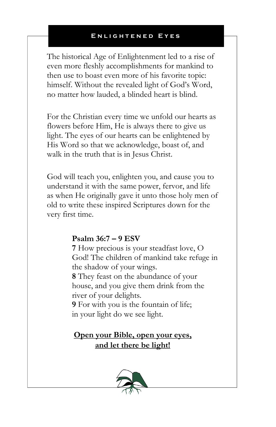The historical Age of Enlightenment led to a rise of even more fleshly accomplishments for mankind to then use to boast even more of his favorite topic: himself. Without the revealed light of God's Word, no matter how lauded, a blinded heart is blind.

For the Christian every time we unfold our hearts as flowers before Him, He is always there to give us light. The eyes of our hearts can be enlightened by His Word so that we acknowledge, boast of, and walk in the truth that is in Jesus Christ.

God will teach you, enlighten you, and cause you to understand it with the same power, fervor, and life as when He originally gave it unto those holy men of old to write these inspired Scriptures down for the very first time.

## **Psalm 36:7 – 9 ESV**

**7** How precious is your steadfast love, O God! The children of mankind take refuge in the shadow of your wings.

**8** They feast on the abundance of your house, and you give them drink from the river of your delights.

**9** For with you is the fountain of life; in your light do we see light.

## **Open your Bible, open your eyes, and let there be light!**